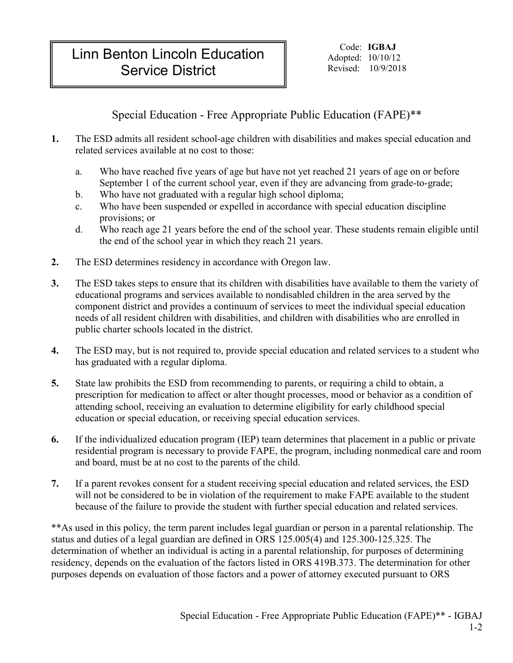## Linn Benton Lincoln Education **Service District Revised:** 10/9/2018

Code: **IGBAJ** Adopted: 10/10/12

Special Education - Free Appropriate Public Education (FAPE)\*\*

- **1.** The ESD admits all resident school-age children with disabilities and makes special education and related services available at no cost to those:
	- a. Who have reached five years of age but have not yet reached 21 years of age on or before September 1 of the current school year, even if they are advancing from grade-to-grade;
	- b. Who have not graduated with a regular high school diploma;
	- c. Who have been suspended or expelled in accordance with special education discipline provisions; or
	- d. Who reach age 21 years before the end of the school year. These students remain eligible until the end of the school year in which they reach 21 years.
- **2.** The ESD determines residency in accordance with Oregon law.
- **3.** The ESD takes steps to ensure that its children with disabilities have available to them the variety of educational programs and services available to nondisabled children in the area served by the component district and provides a continuum of services to meet the individual special education needs of all resident children with disabilities, and children with disabilities who are enrolled in public charter schools located in the district.
- **4.** The ESD may, but is not required to, provide special education and related services to a student who has graduated with a regular diploma.
- **5.** State law prohibits the ESD from recommending to parents, or requiring a child to obtain, a prescription for medication to affect or alter thought processes, mood or behavior as a condition of attending school, receiving an evaluation to determine eligibility for early childhood special education or special education, or receiving special education services.
- **6.** If the individualized education program (IEP) team determines that placement in a public or private residential program is necessary to provide FAPE, the program, including nonmedical care and room and board, must be at no cost to the parents of the child.
- **7.** If a parent revokes consent for a student receiving special education and related services, the ESD will not be considered to be in violation of the requirement to make FAPE available to the student because of the failure to provide the student with further special education and related services.

\*\*As used in this policy, the term parent includes legal guardian or person in a parental relationship. The status and duties of a legal guardian are defined in ORS 125.005(4) and 125.300-125.325. The determination of whether an individual is acting in a parental relationship, for purposes of determining residency, depends on the evaluation of the factors listed in ORS 419B.373. The determination for other purposes depends on evaluation of those factors and a power of attorney executed pursuant to ORS